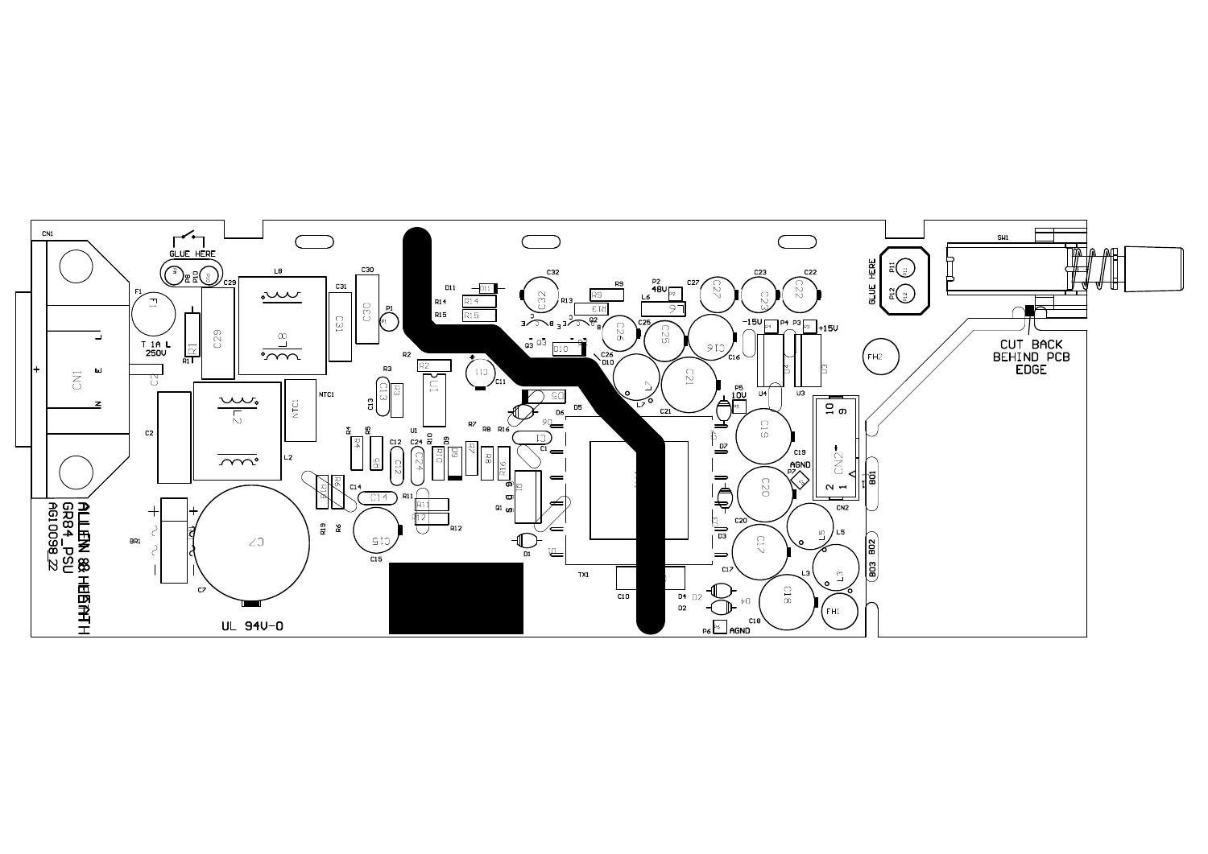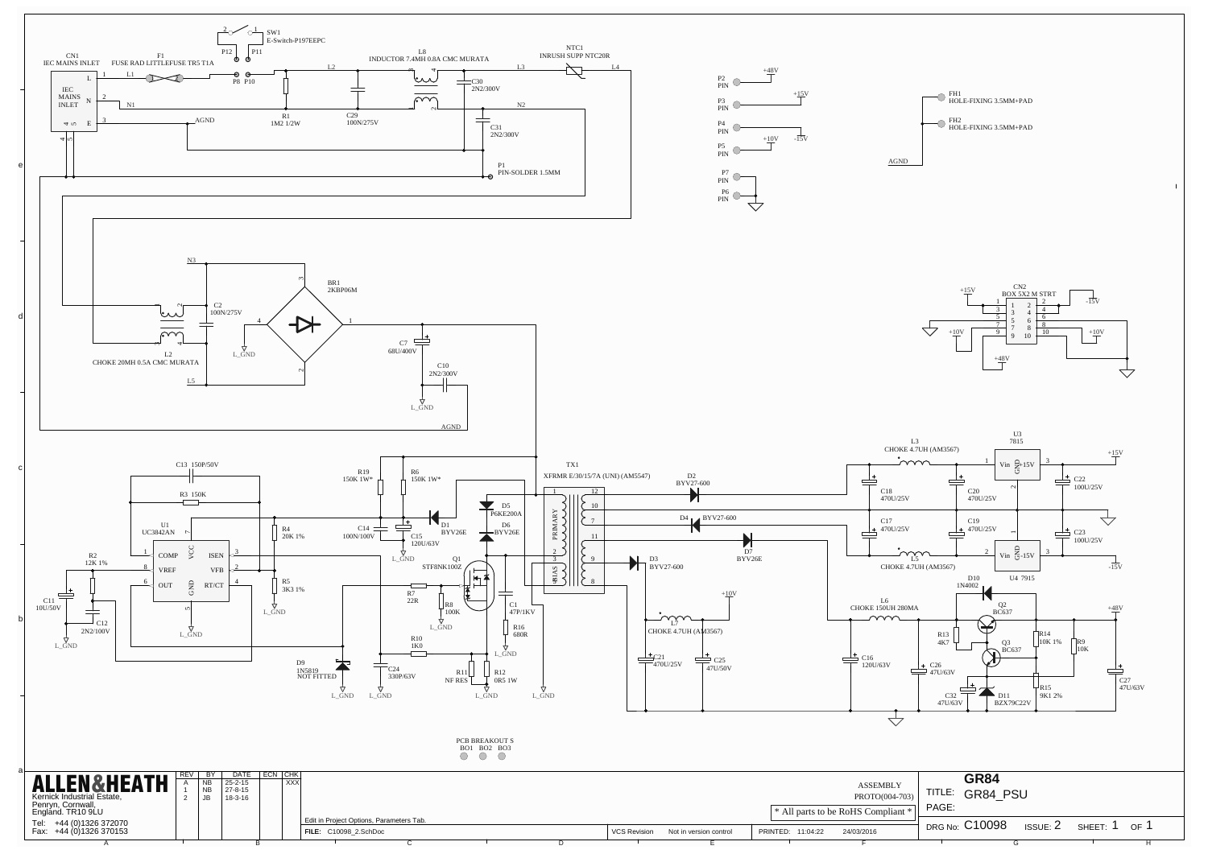

| <b>HEATH</b>     | BY I<br>$\sim$ 1912 | DATE<br>$25 - 2 - 15$    | ECN CHK | <b>XXX</b> |                                          |              |                        |                   | <b>ASSEMBLY</b>                               |       | <b>GR84</b>     |        |        |    |
|------------------|---------------------|--------------------------|---------|------------|------------------------------------------|--------------|------------------------|-------------------|-----------------------------------------------|-------|-----------------|--------|--------|----|
| state,           | NB                  | $27 - 8 - 15$<br>18-3-16 |         |            |                                          |              |                        |                   | PROTO(004-703)                                |       | TITLE: GR84 PSU |        |        |    |
|                  |                     |                          |         |            |                                          |              |                        |                   | <sup>*</sup> All parts to be RoHS Compliant * | PAGE: |                 |        |        |    |
| 372070<br>370153 |                     |                          |         |            | Edit in Project Options, Parameters Tab. | VCS Revision |                        | PRINTED: 11:04:22 |                                               |       | DRG No: C10098  | SSE: 2 | SHEET: | OF |
|                  |                     |                          |         |            | $\vert$ FILE: $C10098\_2$ . SchDoc       |              | Not in version control |                   | 24/03/2016                                    |       |                 |        |        |    |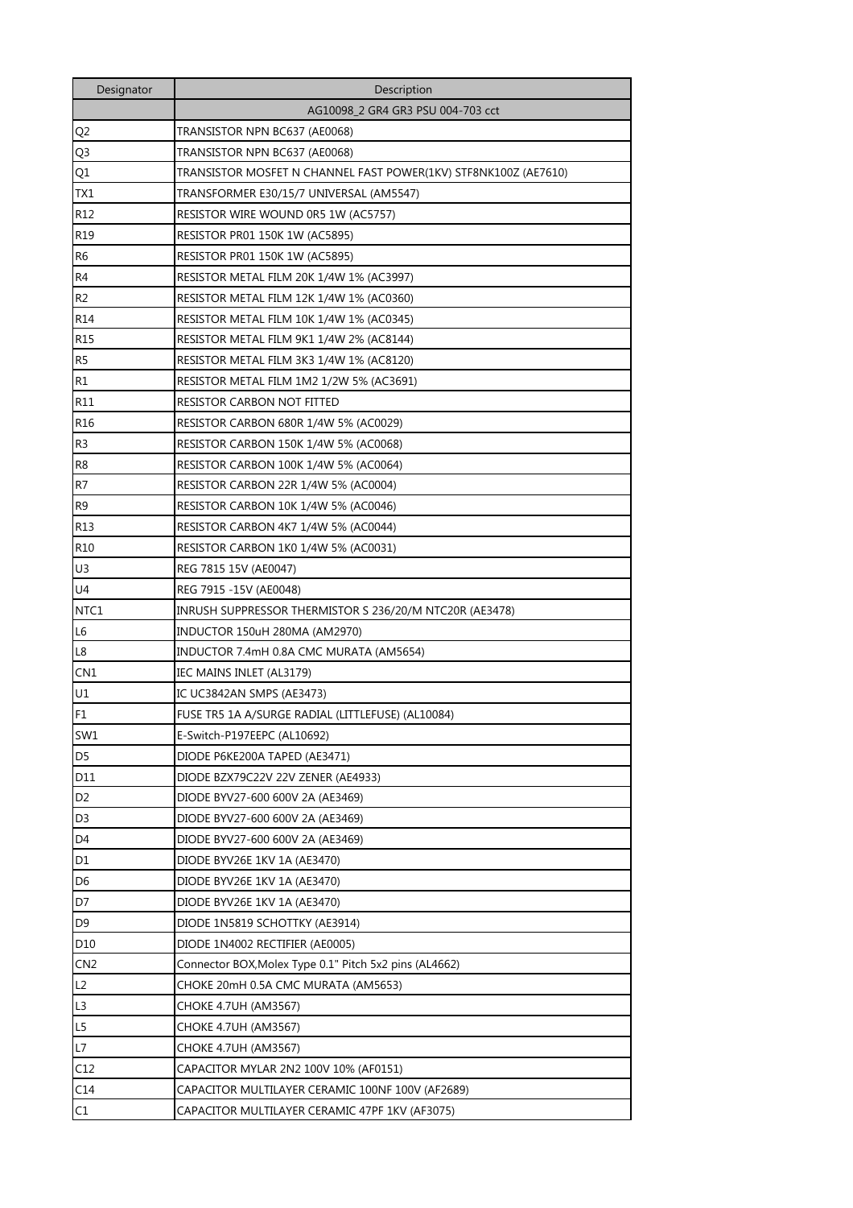| Designator      | Description                                                     |
|-----------------|-----------------------------------------------------------------|
|                 | AG10098_2 GR4 GR3 PSU 004-703 cct                               |
| Q2              | TRANSISTOR NPN BC637 (AE0068)                                   |
| Q3              | TRANSISTOR NPN BC637 (AE0068)                                   |
| Q1              | TRANSISTOR MOSFET N CHANNEL FAST POWER(1KV) STF8NK100Z (AE7610) |
| TX1             | TRANSFORMER E30/15/7 UNIVERSAL (AM5547)                         |
| R12             | RESISTOR WIRE WOUND 0R5 1W (AC5757)                             |
| R <sub>19</sub> | <b>RESISTOR PR01 150K 1W (AC5895)</b>                           |
| R <sub>6</sub>  | <b>RESISTOR PR01 150K 1W (AC5895)</b>                           |
| R <sub>4</sub>  | RESISTOR METAL FILM 20K 1/4W 1% (AC3997)                        |
| R <sub>2</sub>  | RESISTOR METAL FILM 12K 1/4W 1% (AC0360)                        |
| R <sub>14</sub> | RESISTOR METAL FILM 10K 1/4W 1% (AC0345)                        |
| R <sub>15</sub> | RESISTOR METAL FILM 9K1 1/4W 2% (AC8144)                        |
| R <sub>5</sub>  | RESISTOR METAL FILM 3K3 1/4W 1% (AC8120)                        |
| R1              | RESISTOR METAL FILM 1M2 1/2W 5% (AC3691)                        |
| R11             | RESISTOR CARBON NOT FITTED                                      |
| R <sub>16</sub> | RESISTOR CARBON 680R 1/4W 5% (AC0029)                           |
| R <sub>3</sub>  | RESISTOR CARBON 150K 1/4W 5% (AC0068)                           |
| R <sub>8</sub>  | RESISTOR CARBON 100K 1/4W 5% (AC0064)                           |
| R7              | RESISTOR CARBON 22R 1/4W 5% (AC0004)                            |
| R <sub>9</sub>  | RESISTOR CARBON 10K 1/4W 5% (AC0046)                            |
| R <sub>13</sub> | RESISTOR CARBON 4K7 1/4W 5% (AC0044)                            |
| R <sub>10</sub> | RESISTOR CARBON 1K0 1/4W 5% (AC0031)                            |
| U <sub>3</sub>  | REG 7815 15V (AE0047)                                           |
| U4              | REG 7915 -15V (AE0048)                                          |
| NTC1            | INRUSH SUPPRESSOR THERMISTOR S 236/20/M NTC20R (AE3478)         |
| L6              | INDUCTOR 150uH 280MA (AM2970)                                   |
| L8              | INDUCTOR 7.4mH 0.8A CMC MURATA (AM5654)                         |
| CN <sub>1</sub> | IEC MAINS INLET (AL3179)                                        |
| U1              | IC UC3842AN SMPS (AE3473)                                       |
| F1              | FUSE TR5 1A A/SURGE RADIAL (LITTLEFUSE) (AL10084)               |
| SW1             | E-Switch-P197EEPC (AL10692)                                     |
| D <sub>5</sub>  | DIODE P6KE200A TAPED (AE3471)                                   |
| D11             | DIODE BZX79C22V 22V ZENER (AE4933)                              |
| D <sub>2</sub>  | DIODE BYV27-600 600V 2A (AE3469)                                |
| D <sub>3</sub>  | DIODE BYV27-600 600V 2A (AE3469)                                |
| D4              | DIODE BYV27-600 600V 2A (AE3469)                                |
| D1              | DIODE BYV26E 1KV 1A (AE3470)                                    |
| D6              | DIODE BYV26E 1KV 1A (AE3470)                                    |
| D7              | DIODE BYV26E 1KV 1A (AE3470)                                    |
| D <sub>9</sub>  | DIODE 1N5819 SCHOTTKY (AE3914)                                  |
| D <sub>10</sub> | DIODE 1N4002 RECTIFIER (AE0005)                                 |
| CN <sub>2</sub> | Connector BOX, Molex Type 0.1" Pitch 5x2 pins (AL4662)          |
| L2              | CHOKE 20mH 0.5A CMC MURATA (AM5653)                             |
| L3              | CHOKE 4.7UH (AM3567)                                            |
| L5              | CHOKE 4.7UH (AM3567)                                            |
| L7              | CHOKE 4.7UH (AM3567)                                            |
| C12             | CAPACITOR MYLAR 2N2 100V 10% (AF0151)                           |
| C14             | CAPACITOR MULTILAYER CERAMIC 100NF 100V (AF2689)                |
| C1              | CAPACITOR MULTILAYER CERAMIC 47PF 1KV (AF3075)                  |